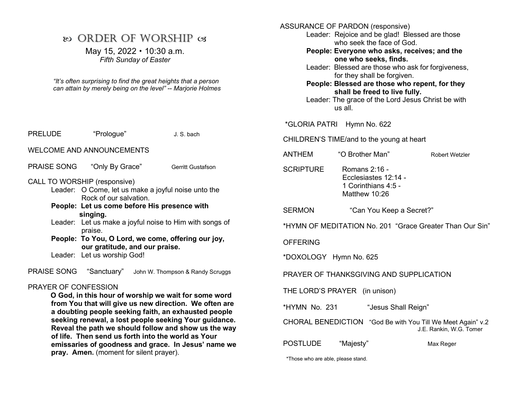# $\infty$  ORDER OF WORSHIP  $\infty$

May 15,  $2022 \cdot 10:30$  a.m. Fifth Sunday of Easter

"It's often surprising to find the great heights that a person can attain by merely being on the level" -- Marjorie Holmes

| <b>PRELUDE</b>                                                                                                                                                            | "Prologue"                                                                           |  | J. S. bach                                              |  |
|---------------------------------------------------------------------------------------------------------------------------------------------------------------------------|--------------------------------------------------------------------------------------|--|---------------------------------------------------------|--|
| <b>WELCOME AND ANNOUNCEMENTS</b>                                                                                                                                          |                                                                                      |  |                                                         |  |
| PRAISE SONG "Only By Grace"                                                                                                                                               |                                                                                      |  | <b>Gerritt Gustafson</b>                                |  |
| CALL TO WORSHIP (responsive)<br>Leader: O Come, let us make a joyful noise unto the<br>Rock of our salvation.<br>People: Let us come before His presence with<br>singing. |                                                                                      |  |                                                         |  |
|                                                                                                                                                                           | praise.                                                                              |  | Leader: Let us make a joyful noise to Him with songs of |  |
|                                                                                                                                                                           | People: To You, O Lord, we come, offering our joy,<br>our gratitude, and our praise. |  |                                                         |  |
|                                                                                                                                                                           | Leader: Let us worship God!                                                          |  |                                                         |  |
| <b>PRAISE SONG</b>                                                                                                                                                        | "Sanctuary"                                                                          |  | John W. Thompson & Randy Scruggs                        |  |

#### PRAYER OF CONFESSION

 O God, in this hour of worship we wait for some word from You that will give us new direction. We often are a doubting people seeking faith, an exhausted people seeking renewal, a lost people seeking Your guidance. Reveal the path we should follow and show us the way of life. Then send us forth into the world as Your emissaries of goodness and grace. In Jesus' name we pray. Amen. (moment for silent prayer).

ASSURANCE OF PARDON (responsive)

Leader: Rejoice and be glad! Blessed are those who seek the face of God.

People: Everyone who asks, receives; and the one who seeks, finds.

Leader: Blessed are those who ask for forgiveness, for they shall be forgiven.

People: Blessed are those who repent, for they shall be freed to live fully.

 Leader: The grace of the Lord Jesus Christ be with us all.

\*GLORIA PATRI Hymn No. 622

CHILDREN'S TIME/and to the young at heart

| ANTHEM | "O Brother Man" | Robert Wetzler |
|--------|-----------------|----------------|
|        |                 |                |

SCRIPTURE Romans 2:16 - Ecclesiastes 12:14 - 1 Corinthians 4:5 - Matthew 10:26

SERMON "Can You Keep a Secret?"

\*HYMN OF MEDITATION No. 201 "Grace Greater Than Our Sin"

**OFFERING** 

\*DOXOLOGY Hymn No. 625

PRAYER OF THANKSGIVING AND SUPPLICATION

THE LORD'S PRAYER (in unison)

\*HYMN No. 231 "Jesus Shall Reign"

CHORAL BENEDICTION "God Be with You Till We Meet Again" v.2 J.E. Rankin, W.G. Tomer

POSTLUDE "Majesty" Max Reger

\*Those who are able, please stand.